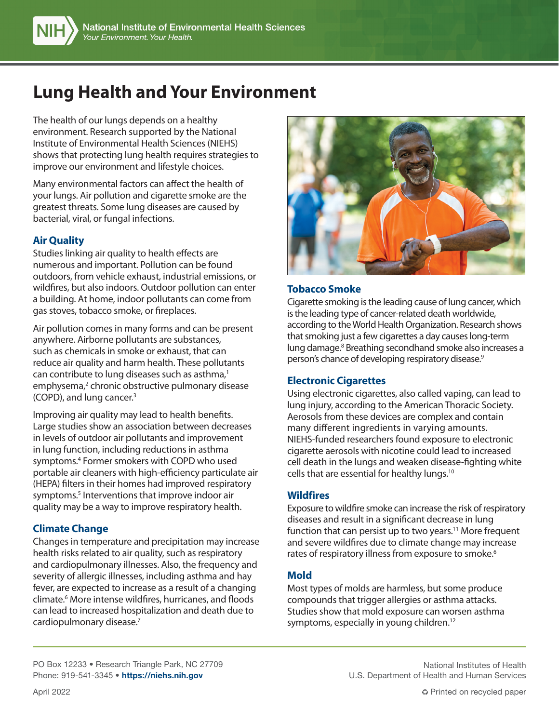# **Lung Health and Your Environment**

The health of our lungs depends on a healthy environment. Research supported by the National Institute of Environmental Health Sciences (NIEHS) shows that protecting lung health requires strategies to improve our environment and lifestyle choices.

Many environmental factors can affect the health of your lungs. Air pollution and cigarette smoke are the greatest threats. Some lung diseases are caused by bacterial, viral, or fungal infections.

# **Air Quality**

Studies linking air quality to health effects are numerous and important. Pollution can be found outdoors, from vehicle exhaust, industrial emissions, or wildfires, but also indoors. Outdoor pollution can enter a building. At home, indoor pollutants can come from gas stoves, tobacco smoke, or fireplaces.

Air pollution comes in many forms and can be present anywhere. Airborne pollutants are substances, such as chemicals in smoke or exhaust, that can reduce air quality and harm health. These pollutants can contribute to lung diseases such as asthma,<sup>1</sup> emphysema,<sup>2</sup> chronic obstructive pulmonary disease (COPD), and lung cancer.3

Improving air quality may lead to health benefits. Large studies show an association between decreases in levels of outdoor air pollutants and improvement in lung function, including reductions in asthma symptoms.4 Former smokers with COPD who used portable air cleaners with high-efficiency particulate air (HEPA) filters in their homes had improved respiratory symptoms.<sup>5</sup> Interventions that improve indoor air quality may be a way to improve respiratory health.

# **Climate Change**

Changes in temperature and precipitation may increase health risks related to air quality, such as respiratory and cardiopulmonary illnesses. Also, the frequency and severity of allergic illnesses, including asthma and hay fever, are expected to increase as a result of a changing climate.6 More intense wildfires, hurricanes, and floods can lead to increased hospitalization and death due to cardiopulmonary disease.7



## **Tobacco Smoke**

Cigarette smoking is the leading cause of lung cancer, which is the leading type of cancer-related death worldwide, according to the World Health Organization. Research shows that smoking just a few cigarettes a day causes long-term lung damage.8 Breathing secondhand smoke also increases a person's chance of developing respiratory disease.<sup>9</sup>

## **Electronic Cigarettes**

Using electronic cigarettes, also called vaping, can lead to lung injury, according to the American Thoracic Society. Aerosols from these devices are complex and contain many different ingredients in varying amounts. NIEHS-funded researchers found exposure to electronic cigarette aerosols with nicotine could lead to increased cell death in the lungs and weaken disease-fighting white cells that are essential for healthy lungs.10

## **Wildfires**

Exposure to wildfire smoke can increase the risk of respiratory diseases and result in a significant decrease in lung function that can persist up to two years.<sup>11</sup> More frequent and severe wildfires due to climate change may increase rates of respiratory illness from exposure to smoke.<sup>6</sup>

# **Mold**

Most types of molds are harmless, but some produce compounds that trigger allergies or asthma attacks. Studies show that mold exposure can worsen asthma symptoms, especially in young children.<sup>12</sup>

PO Box 12233 • Research Triangle Park, NC 27709 Phone: 919-541-3345 • https://niehs.nih.gov

National Institutes of Health U.S. Department of Health and Human Services